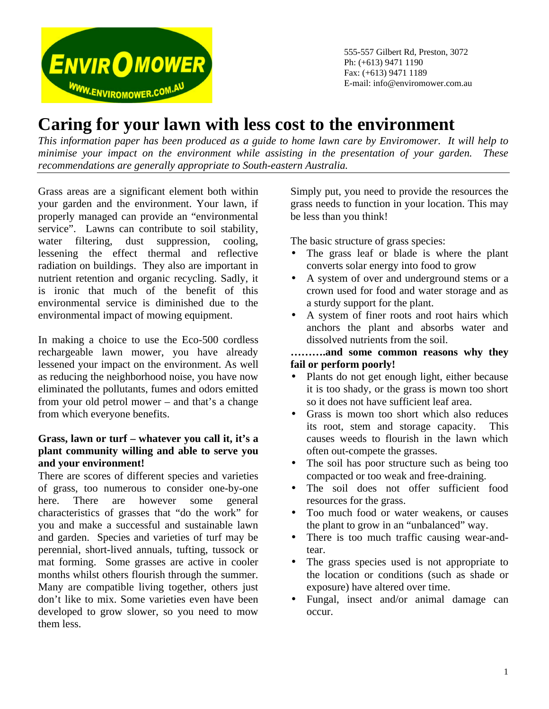

555-557 Gilbert Rd, Preston, 3072 Ph: (+613) 9471 1190 Fax: (+613) 9471 1189 E-mail: info@enviromower.com.au

# **Caring for your lawn with less cost to the environment**

*This information paper has been produced as a guide to home lawn care by Enviromower. It will help to minimise your impact on the environment while assisting in the presentation of your garden. These recommendations are generally appropriate to South-eastern Australia.*

Grass areas are a significant element both within your garden and the environment. Your lawn, if properly managed can provide an "environmental service". Lawns can contribute to soil stability, water filtering, dust suppression, cooling, lessening the effect thermal and reflective radiation on buildings. They also are important in nutrient retention and organic recycling. Sadly, it is ironic that much of the benefit of this environmental service is diminished due to the environmental impact of mowing equipment.

In making a choice to use the Eco-500 cordless rechargeable lawn mower, you have already lessened your impact on the environment. As well as reducing the neighborhood noise, you have now eliminated the pollutants, fumes and odors emitted from your old petrol mower – and that's a change from which everyone benefits.

# **Grass, lawn or turf – whatever you call it, it's a plant community willing and able to serve you and your environment!**

There are scores of different species and varieties of grass, too numerous to consider one-by-one here. There are however some general characteristics of grasses that "do the work" for you and make a successful and sustainable lawn and garden. Species and varieties of turf may be perennial, short-lived annuals, tufting, tussock or mat forming. Some grasses are active in cooler months whilst others flourish through the summer. Many are compatible living together, others just don't like to mix. Some varieties even have been developed to grow slower, so you need to mow them less.

Simply put, you need to provide the resources the grass needs to function in your location. This may be less than you think!

The basic structure of grass species:

- The grass leaf or blade is where the plant converts solar energy into food to grow
- A system of over and underground stems or a crown used for food and water storage and as a sturdy support for the plant.
- A system of finer roots and root hairs which anchors the plant and absorbs water and dissolved nutrients from the soil.

## **……….and some common reasons why they fail or perform poorly!**

- Plants do not get enough light, either because it is too shady, or the grass is mown too short so it does not have sufficient leaf area.
- Grass is mown too short which also reduces its root, stem and storage capacity. This causes weeds to flourish in the lawn which often out-compete the grasses.
- The soil has poor structure such as being too compacted or too weak and free-draining.
- The soil does not offer sufficient food resources for the grass.
- Too much food or water weakens, or causes the plant to grow in an "unbalanced" way.
- There is too much traffic causing wear-andtear.
- The grass species used is not appropriate to the location or conditions (such as shade or exposure) have altered over time.
- Fungal, insect and/or animal damage can occur.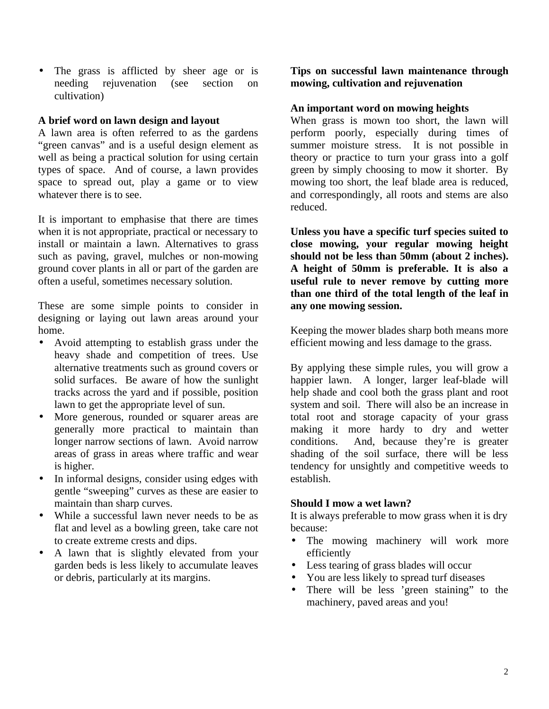• The grass is afflicted by sheer age or is needing rejuvenation (see section on cultivation)

## **A brief word on lawn design and layout**

A lawn area is often referred to as the gardens "green canvas" and is a useful design element as well as being a practical solution for using certain types of space. And of course, a lawn provides space to spread out, play a game or to view whatever there is to see.

It is important to emphasise that there are times when it is not appropriate, practical or necessary to install or maintain a lawn. Alternatives to grass such as paving, gravel, mulches or non-mowing ground cover plants in all or part of the garden are often a useful, sometimes necessary solution.

These are some simple points to consider in designing or laying out lawn areas around your home.

- Avoid attempting to establish grass under the heavy shade and competition of trees. Use alternative treatments such as ground covers or solid surfaces. Be aware of how the sunlight tracks across the yard and if possible, position lawn to get the appropriate level of sun.
- More generous, rounded or squarer areas are generally more practical to maintain than longer narrow sections of lawn. Avoid narrow areas of grass in areas where traffic and wear is higher.
- In informal designs, consider using edges with gentle "sweeping" curves as these are easier to maintain than sharp curves.
- While a successful lawn never needs to be as flat and level as a bowling green, take care not to create extreme crests and dips.
- A lawn that is slightly elevated from your garden beds is less likely to accumulate leaves or debris, particularly at its margins.

**Tips on successful lawn maintenance through mowing, cultivation and rejuvenation**

## **An important word on mowing heights**

When grass is mown too short, the lawn will perform poorly, especially during times of summer moisture stress. It is not possible in theory or practice to turn your grass into a golf green by simply choosing to mow it shorter. By mowing too short, the leaf blade area is reduced, and correspondingly, all roots and stems are also reduced.

**Unless you have a specific turf species suited to close mowing, your regular mowing height should not be less than 50mm (about 2 inches). A height of 50mm is preferable. It is also a useful rule to never remove by cutting more than one third of the total length of the leaf in any one mowing session.**

Keeping the mower blades sharp both means more efficient mowing and less damage to the grass.

By applying these simple rules, you will grow a happier lawn. A longer, larger leaf-blade will help shade and cool both the grass plant and root system and soil. There will also be an increase in total root and storage capacity of your grass making it more hardy to dry and wetter conditions. And, because they're is greater shading of the soil surface, there will be less tendency for unsightly and competitive weeds to establish.

#### **Should I mow a wet lawn?**

It is always preferable to mow grass when it is dry because:

- The mowing machinery will work more efficiently
- Less tearing of grass blades will occur
- You are less likely to spread turf diseases
- There will be less 'green staining" to the machinery, paved areas and you!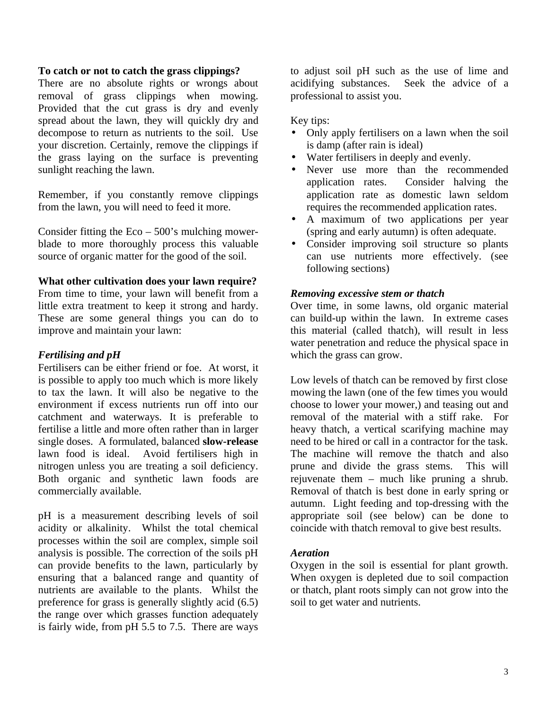#### **To catch or not to catch the grass clippings?**

There are no absolute rights or wrongs about removal of grass clippings when mowing. Provided that the cut grass is dry and evenly spread about the lawn, they will quickly dry and decompose to return as nutrients to the soil. Use your discretion. Certainly, remove the clippings if the grass laying on the surface is preventing sunlight reaching the lawn.

Remember, if you constantly remove clippings from the lawn, you will need to feed it more.

Consider fitting the  $Eco - 500$ 's mulching mowerblade to more thoroughly process this valuable source of organic matter for the good of the soil.

#### **What other cultivation does your lawn require?**

From time to time, your lawn will benefit from a little extra treatment to keep it strong and hardy. These are some general things you can do to improve and maintain your lawn:

## *Fertilising and pH*

Fertilisers can be either friend or foe. At worst, it is possible to apply too much which is more likely to tax the lawn. It will also be negative to the environment if excess nutrients run off into our catchment and waterways. It is preferable to fertilise a little and more often rather than in larger single doses. A formulated, balanced **slow-release** lawn food is ideal. Avoid fertilisers high in nitrogen unless you are treating a soil deficiency. Both organic and synthetic lawn foods are commercially available.

pH is a measurement describing levels of soil acidity or alkalinity. Whilst the total chemical processes within the soil are complex, simple soil analysis is possible. The correction of the soils pH can provide benefits to the lawn, particularly by ensuring that a balanced range and quantity of nutrients are available to the plants. Whilst the preference for grass is generally slightly acid (6.5) the range over which grasses function adequately is fairly wide, from pH 5.5 to 7.5. There are ways

to adjust soil pH such as the use of lime and acidifying substances. Seek the advice of a professional to assist you.

## Key tips:

- Only apply fertilisers on a lawn when the soil is damp (after rain is ideal)
- Water fertilisers in deeply and evenly.
- Never use more than the recommended application rates. Consider halving the application rate as domestic lawn seldom requires the recommended application rates.
- A maximum of two applications per year (spring and early autumn) is often adequate.
- Consider improving soil structure so plants can use nutrients more effectively. (see following sections)

#### *Removing excessive stem or thatch*

Over time, in some lawns, old organic material can build-up within the lawn. In extreme cases this material (called thatch), will result in less water penetration and reduce the physical space in which the grass can grow.

Low levels of thatch can be removed by first close mowing the lawn (one of the few times you would choose to lower your mower,) and teasing out and removal of the material with a stiff rake. For heavy thatch, a vertical scarifying machine may need to be hired or call in a contractor for the task. The machine will remove the thatch and also prune and divide the grass stems. This will rejuvenate them – much like pruning a shrub. Removal of thatch is best done in early spring or autumn. Light feeding and top-dressing with the appropriate soil (see below) can be done to coincide with thatch removal to give best results.

#### *Aeration*

Oxygen in the soil is essential for plant growth. When oxygen is depleted due to soil compaction or thatch, plant roots simply can not grow into the soil to get water and nutrients.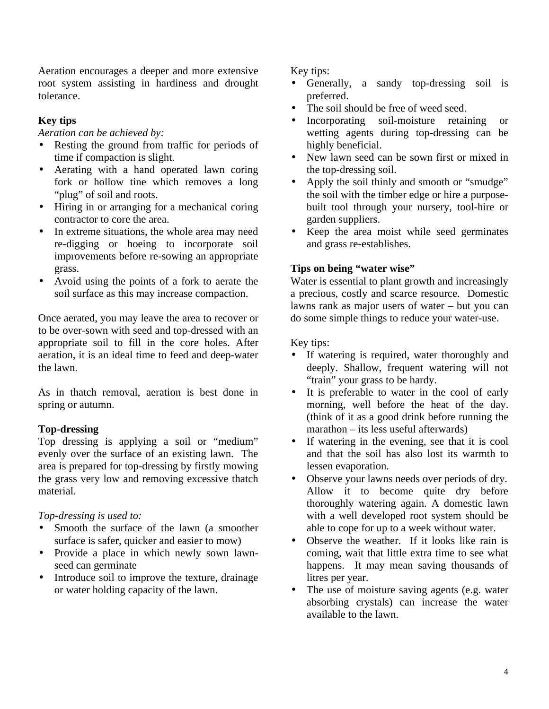Aeration encourages a deeper and more extensive root system assisting in hardiness and drought tolerance.

# **Key tips**

*Aeration can be achieved by:*

- Resting the ground from traffic for periods of time if compaction is slight.
- Aerating with a hand operated lawn coring fork or hollow tine which removes a long "plug" of soil and roots.
- Hiring in or arranging for a mechanical coring contractor to core the area.
- In extreme situations, the whole area may need re-digging or hoeing to incorporate soil improvements before re-sowing an appropriate grass.
- Avoid using the points of a fork to aerate the soil surface as this may increase compaction.

Once aerated, you may leave the area to recover or to be over-sown with seed and top-dressed with an appropriate soil to fill in the core holes. After aeration, it is an ideal time to feed and deep-water the lawn.

As in thatch removal, aeration is best done in spring or autumn.

# **Top-dressing**

Top dressing is applying a soil or "medium" evenly over the surface of an existing lawn. The area is prepared for top-dressing by firstly mowing the grass very low and removing excessive thatch material.

*Top-dressing is used to:*

- Smooth the surface of the lawn (a smoother surface is safer, quicker and easier to mow)
- Provide a place in which newly sown lawnseed can germinate
- Introduce soil to improve the texture, drainage or water holding capacity of the lawn.

Key tips:

- Generally, a sandy top-dressing soil is preferred.
- The soil should be free of weed seed.
- Incorporating soil-moisture retaining or wetting agents during top-dressing can be highly beneficial.
- New lawn seed can be sown first or mixed in the top-dressing soil.
- Apply the soil thinly and smooth or "smudge" the soil with the timber edge or hire a purposebuilt tool through your nursery, tool-hire or garden suppliers.
- Keep the area moist while seed germinates and grass re-establishes.

# **Tips on being "water wise"**

Water is essential to plant growth and increasingly a precious, costly and scarce resource. Domestic lawns rank as major users of water – but you can do some simple things to reduce your water-use.

Key tips:

- If watering is required, water thoroughly and deeply. Shallow, frequent watering will not "train" your grass to be hardy.
- It is preferable to water in the cool of early morning, well before the heat of the day. (think of it as a good drink before running the marathon – its less useful afterwards)
- If watering in the evening, see that it is cool and that the soil has also lost its warmth to lessen evaporation.
- Observe your lawns needs over periods of dry. Allow it to become quite dry before thoroughly watering again. A domestic lawn with a well developed root system should be able to cope for up to a week without water.
- Observe the weather. If it looks like rain is coming, wait that little extra time to see what happens. It may mean saving thousands of litres per year.
- The use of moisture saving agents (e.g. water absorbing crystals) can increase the water available to the lawn.